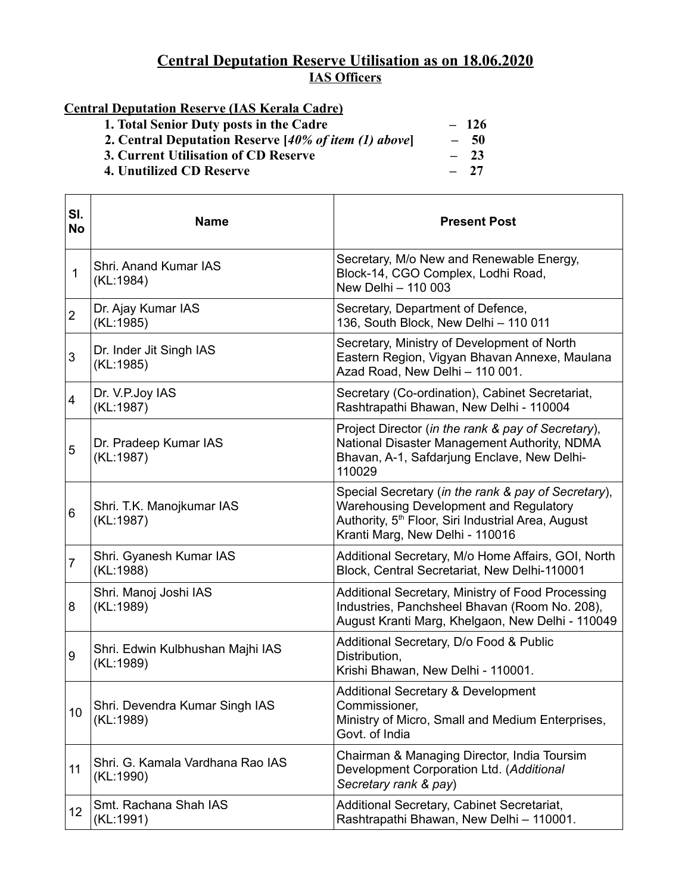## **Central Deputation Reserve Utilisation as on 18.06.2020 IAS Officers**

## **Central Deputation Reserve (IAS Kerala Cadre)**

**1. Total Senior Duty posts in the Cadre**  $\begin{array}{r} -126 \\ -50 \end{array}$ <br>**2. Central Deputation Reserve** [40% of item (1) above] - 50 2. Central Deputation Reserve [40% of item (1) above] - 50<br>3. Current Utilisation of CD Reserve - 23 **3. Current Utilisation of CD Reserve**  $\qquad \qquad -23$ <br> **4. Unutilized CD Reserve**  $\qquad \qquad -27$ **4. Unutilized CD Reserve** 

| SI.<br><b>No</b> | <b>Name</b>                                   | <b>Present Post</b>                                                                                                                                                                                       |
|------------------|-----------------------------------------------|-----------------------------------------------------------------------------------------------------------------------------------------------------------------------------------------------------------|
| $\mathbf{1}$     | Shri, Anand Kumar IAS<br>(KL:1984)            | Secretary, M/o New and Renewable Energy,<br>Block-14, CGO Complex, Lodhi Road,<br>New Delhi - 110 003                                                                                                     |
| $\overline{2}$   | Dr. Ajay Kumar IAS<br>(KL:1985)               | Secretary, Department of Defence,<br>136, South Block, New Delhi - 110 011                                                                                                                                |
| 3                | Dr. Inder Jit Singh IAS<br>(KL:1985)          | Secretary, Ministry of Development of North<br>Eastern Region, Vigyan Bhavan Annexe, Maulana<br>Azad Road, New Delhi - 110 001.                                                                           |
| 4                | Dr. V.P.Joy IAS<br>(KL:1987)                  | Secretary (Co-ordination), Cabinet Secretariat,<br>Rashtrapathi Bhawan, New Delhi - 110004                                                                                                                |
| 5                | Dr. Pradeep Kumar IAS<br>(KL:1987)            | Project Director (in the rank & pay of Secretary),<br>National Disaster Management Authority, NDMA<br>Bhavan, A-1, Safdarjung Enclave, New Delhi-<br>110029                                               |
| 6                | Shri. T.K. Manojkumar IAS<br>(KL:1987)        | Special Secretary (in the rank & pay of Secretary),<br><b>Warehousing Development and Regulatory</b><br>Authority, 5 <sup>th</sup> Floor, Siri Industrial Area, August<br>Kranti Marg, New Delhi - 110016 |
| 7                | Shri. Gyanesh Kumar IAS<br>(KL:1988)          | Additional Secretary, M/o Home Affairs, GOI, North<br>Block, Central Secretariat, New Delhi-110001                                                                                                        |
| 8                | Shri. Manoj Joshi IAS<br>(KL:1989)            | Additional Secretary, Ministry of Food Processing<br>Industries, Panchsheel Bhavan (Room No. 208),<br>August Kranti Marg, Khelgaon, New Delhi - 110049                                                    |
| 9                | Shri. Edwin Kulbhushan Majhi IAS<br>(KL:1989) | Additional Secretary, D/o Food & Public<br>Distribution,<br>Krishi Bhawan, New Delhi - 110001.                                                                                                            |
| 10               | Shri. Devendra Kumar Singh IAS<br>(KL:1989)   | <b>Additional Secretary &amp; Development</b><br>Commissioner,<br>Ministry of Micro, Small and Medium Enterprises,<br>Govt. of India                                                                      |
| 11               | Shri. G. Kamala Vardhana Rao IAS<br>(KL:1990) | Chairman & Managing Director, India Toursim<br>Development Corporation Ltd. (Additional<br>Secretary rank & pay)                                                                                          |
| 12               | Smt. Rachana Shah IAS<br>(KL:1991)            | Additional Secretary, Cabinet Secretariat,<br>Rashtrapathi Bhawan, New Delhi - 110001.                                                                                                                    |